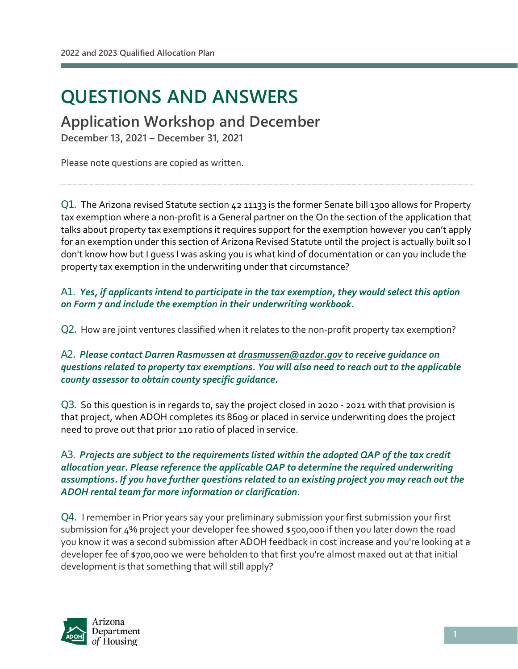l

# **QUESTIONS AND ANSWERS**

**Application Workshop and December** 

**December 13, 2021 – December 31, 2021**

Please note questions are copied as written.

Q1. The Arizona revised Statute section 42 11133 is the former Senate bill 1300 allows for Property tax exemption where a non-profit is a General partner on the On the section of the application that talks about property tax exemptions it requires support for the exemption however you can't apply for an exemption under this section of Arizona Revised Statute until the project is actually built so I don't know how but I guess I was asking you is what kind of documentation or can you include the property tax exemption in the underwriting under that circumstance?

A1. *Yes, if applicants intend to participate in the tax exemption, they would select this option on Form 7 and include the exemption in their underwriting workbook.* 

Q2. How are joint ventures classified when it relates to the non-profit property tax exemption?

#### A2. *Please contact Darren Rasmussen a[t drasmussen@azdor.gov](mailto:drasmussen@azdor.gov) to receive guidance on questions related to property tax exemptions. You will also need to reach out to the applicable county assessor to obtain county specific guidance.*

Q3. So this question is in regards to, say the project closed in 2020 - 2021 with that provision is that project, when ADOH completes its 8609 or placed in service underwriting does the project need to prove out that prior 110 ratio of placed in service.

#### A3. *Projects are subject to the requirements listed within the adopted QAP of the tax credit allocation year. Please reference the applicable QAP to determine the required underwriting assumptions. If you have further questions related to an existing project you may reach out the ADOH rental team for more information or clarification.*

Q4. I remember in Prior years say your preliminary submission your first submission your first submission for 4% project your developer fee showed \$500,000 if then you later down the road you know it was a second submission after ADOH feedback in cost increase and you're looking at a developer fee of \$700,000 we were beholden to that first you're almost maxed out at that initial development is that something that will still apply?

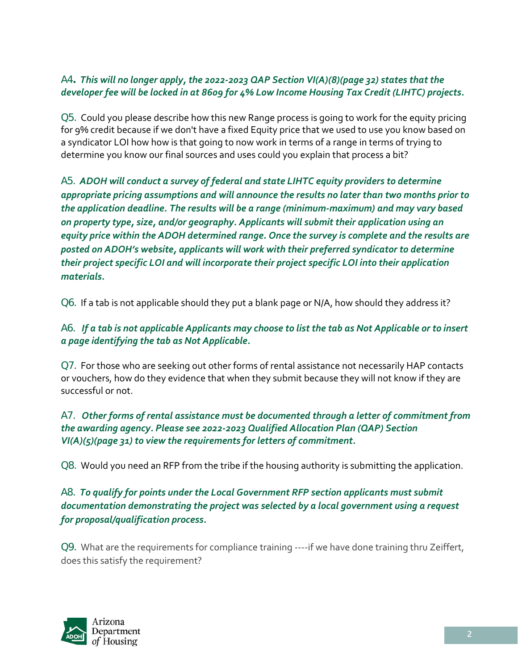## A4**.** *This will no longer apply, the 2022-2023 QAP Section VI(A)(8)(page 32) states that the developer fee will be locked in at 8609 for 4% Low Income Housing Tax Credit (LIHTC) projects.*

Q5. Could you please describe how this new Range process is going to work for the equity pricing for 9% credit because if we don't have a fixed Equity price that we used to use you know based on a syndicator LOI how how is that going to now work in terms of a range in terms of trying to determine you know our final sources and uses could you explain that process a bit?

A5. *ADOH will conduct a survey of federal and state LIHTC equity providers to determine appropriate pricing assumptions and will announce the results no later than two months prior to the application deadline. The results will be a range (minimum-maximum) and may vary based on property type, size, and/or geography. Applicants will submit their application using an equity price within the ADOH determined range. Once the survey is complete and the results are posted on ADOH's website, applicants will work with their preferred syndicator to determine their project specific LOI and will incorporate their project specific LOI into their application materials.*

Q6. If a tab is not applicable should they put a blank page or N/A, how should they address it?

## A6. *If a tab is not applicable Applicants may choose to list the tab as Not Applicable or to insert a page identifying the tab as Not Applicable.*

Q7. For those who are seeking out other forms of rental assistance not necessarily HAP contacts or vouchers, how do they evidence that when they submit because they will not know if they are successful or not.

#### A7. *Other forms of rental assistance must be documented through a letter of commitment from the awarding agency. Please see 2022-2023 Qualified Allocation Plan (QAP) Section VI(A)(5)(page 31) to view the requirements for letters of commitment.*

Q8. Would you need an RFP from the tribe if the housing authority is submitting the application.

# A8. *To qualify for points under the Local Government RFP section applicants must submit documentation demonstrating the project was selected by a local government using a request for proposal/qualification process.*

Q9. What are the requirements for compliance training ----if we have done training thru Zeiffert, does this satisfy the requirement?

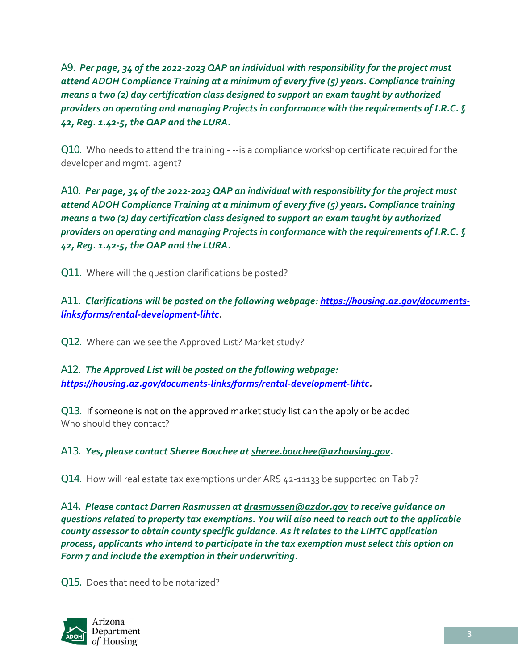A9. *Per page, 34 of the 2022-2023 QAP an individual with responsibility for the project must attend ADOH Compliance Training at a minimum of every five (5) years. Compliance training means a two (2) day certification class designed to support an exam taught by authorized providers on operating and managing Projects in conformance with the requirements of I.R.C. § 42, Reg. 1.42-5, the QAP and the LURA.*

Q10. Who needs to attend the training - --is a compliance workshop certificate required for the developer and mgmt. agent?

A10. *Per page, 34 of the 2022-2023 QAP an individual with responsibility for the project must attend ADOH Compliance Training at a minimum of every five (5) years. Compliance training means a two (2) day certification class designed to support an exam taught by authorized providers on operating and managing Projects in conformance with the requirements of I.R.C. § 42, Reg. 1.42-5, the QAP and the LURA.*

Q11. Where will the question clarifications be posted?

A11. *Clarifications will be posted on the following webpage[: https://housing.az.gov/documents](https://housing.az.gov/documents-links/forms/rental-development-lihtc)[links/forms/rental-development-lihtc.](https://housing.az.gov/documents-links/forms/rental-development-lihtc)*

Q12. Where can we see the Approved List? Market study?

A12. *The Approved List will be posted on the following webpage: [https://housing.az.gov/documents-links/forms/rental-development-lihtc.](https://housing.az.gov/documents-links/forms/rental-development-lihtc)*

Q13. If someone is not on the approved market study list can the apply or be added Who should they contact?

A13. *Yes, please contact Sheree Bouchee at [sheree.bouchee@azhousing.gov.](mailto:sheree.bouchee@azhousing.gov)*

Q14. How will real estate tax exemptions under ARS 42-11133 be supported on Tab 7?

A14. *Please contact Darren Rasmussen at [drasmussen@azdor.gov](mailto:drasmussen@azdor.gov) to receive guidance on questions related to property tax exemptions. You will also need to reach out to the applicable county assessor to obtain county specific guidance. As it relates to the LIHTC application process, applicants who intend to participate in the tax exemption must select this option on Form 7 and include the exemption in their underwriting.*

Q15. Does that need to be notarized?

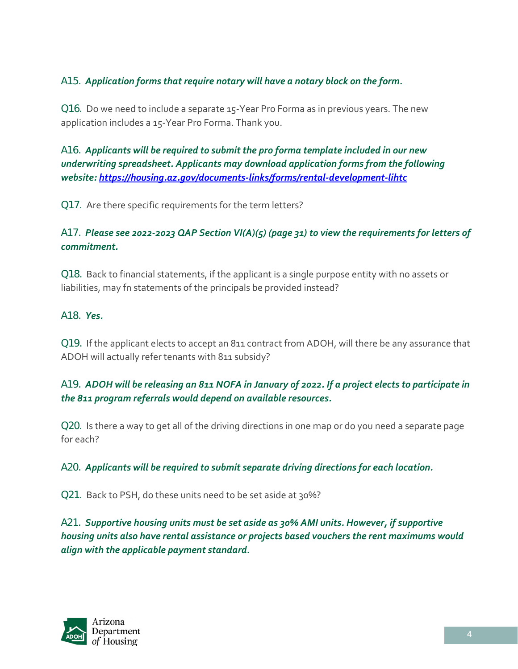# A15. *Application forms that require notary will have a notary block on the form.*

Q16. Do we need to include a separate 15-Year Pro Forma as in previous years. The new application includes a 15-Year Pro Forma. Thank you.

A16. *Applicants will be required to submit the pro forma template included in our new underwriting spreadsheet. Applicants may download application forms from the following website: <https://housing.az.gov/documents-links/forms/rental-development-lihtc>*

Q17. Are there specific requirements for the term letters?

# A17. *Please see 2022-2023 QAP Section VI(A)(5) (page 31) to view the requirements for letters of commitment.*

Q18. Back to financial statements, if the applicant is a single purpose entity with no assets or liabilities, may fn statements of the principals be provided instead?

## A18. *Yes.*

Q19. If the applicant elects to accept an 811 contract from ADOH, will there be any assurance that ADOH will actually refer tenants with 811 subsidy?

# A19. *ADOH will be releasing an 811 NOFA in January of 2022. If a project elects to participate in the 811 program referrals would depend on available resources.*

Q20. Is there a way to get all of the driving directions in one map or do you need a separate page for each?

A20. *Applicants will be required to submit separate driving directions for each location.* 

Q21. Back to PSH, do these units need to be set aside at 30%?

A21. *Supportive housing units must be set aside as 30% AMI units. However, if supportive housing units also have rental assistance or projects based vouchers the rent maximums would align with the applicable payment standard.*

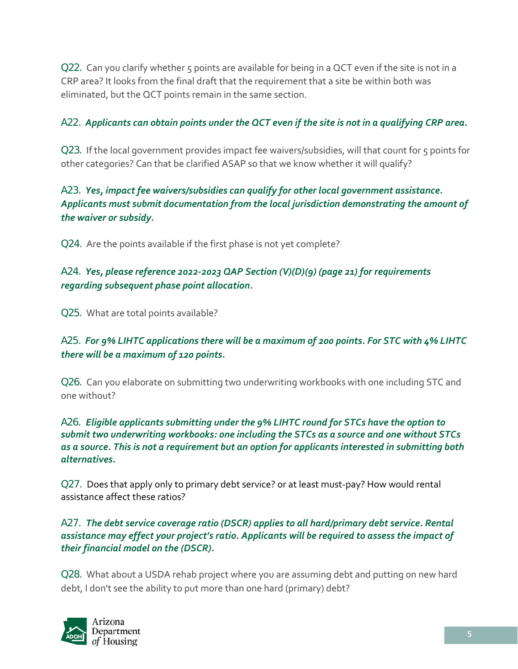Q22. Can you clarify whether 5 points are available for being in a QCT even if the site is not in a CRP area? It looks from the final draft that the requirement that a site be within both was eliminated, but the QCT points remain in the same section.

# A22. *Applicants can obtain points under the QCT even if the site is not in a qualifying CRP area***.**

Q23. If the local government provides impact fee waivers/subsidies, will that count for 5 points for other categories? Can that be clarified ASAP so that we know whether it will qualify?

# A23. *Yes, impact fee waivers/subsidies can qualify for other local government assistance. Applicants must submit documentation from the local jurisdiction demonstrating the amount of the waiver or subsidy.*

Q24. Are the points available if the first phase is not yet complete?

# A24. *Yes, please reference 2022-2023 QAP Section (V)(D)(9) (page 21) for requirements regarding subsequent phase point allocation.*

Q25. What are total points available?

# A25. *For 9% LIHTC applications there will be a maximum of 200 points. For STC with 4% LIHTC there will be a maximum of 120 points.*

Q26. Can you elaborate on submitting two underwriting workbooks with one including STC and one without?

## A26. *Eligible applicants submitting under the 9% LIHTC round for STCs have the option to submit two underwriting workbooks: one including the STCs as a source and one without STCs as a source. This is not a requirement but an option for applicants interested in submitting both alternatives.*

Q27. Does that apply only to primary debt service? or at least must-pay? How would rental assistance affect these ratios?

## A27. *The debt service coverage ratio (DSCR) applies to all hard/primary debt service. Rental assistance may effect your project's ratio. Applicants will be required to assess the impact of their financial model on the (DSCR).*

Q28. What about a USDA rehab project where you are assuming debt and putting on new hard debt, I don't see the ability to put more than one hard (primary) debt?

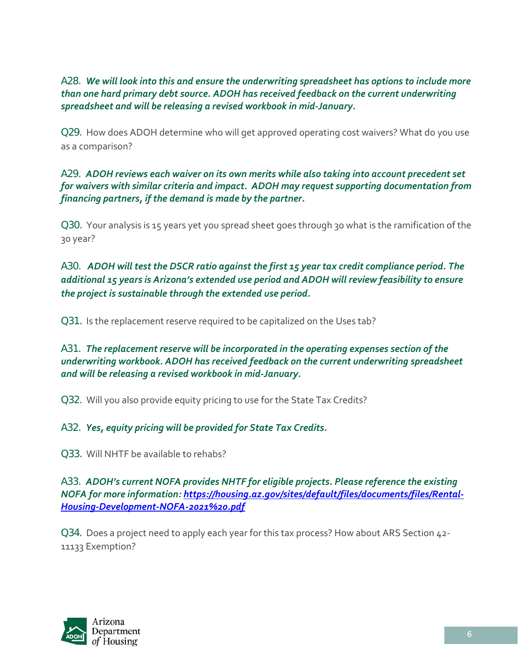A28. *We will look into this and ensure the underwriting spreadsheet has options to include more than one hard primary debt source. ADOH has received feedback on the current underwriting spreadsheet and will be releasing a revised workbook in mid-January.*

Q29. How does ADOH determine who will get approved operating cost waivers? What do you use as a comparison?

## A29. *ADOH reviews each waiver on its own merits while also taking into account precedent set for waivers with similar criteria and impact. ADOH may request supporting documentation from financing partners, if the demand is made by the partner.*

Q30. Your analysis is 15 years yet you spread sheet goes through 30 what is the ramification of the 30 year?

## A30. *ADOH will test the DSCR ratio against the first 15 year tax credit compliance period. The additional 15 years is Arizona's extended use period and ADOH will review feasibility to ensure the project is sustainable through the extended use period.*

Q31. Is the replacement reserve required to be capitalized on the Uses tab?

## A31. *The replacement reserve will be incorporated in the operating expenses section of the underwriting workbook. ADOH has received feedback on the current underwriting spreadsheet and will be releasing a revised workbook in mid-January.*

Q32. Will you also provide equity pricing to use for the State Tax Credits?

## A32. *Yes, equity pricing will be provided for State Tax Credits.*

Q33. Will NHTF be available to rehabs?

A33. *ADOH's current NOFA provides NHTF for eligible projects. Please reference the existing NOFA for more information: [https://housing.az.gov/sites/default/files/documents/files/Rental-](https://housing.az.gov/sites/default/files/documents/files/Rental-Housing-Development-NOFA-2021%20.pdf)[Housing-Development-NOFA-2021%20.pdf](https://housing.az.gov/sites/default/files/documents/files/Rental-Housing-Development-NOFA-2021%20.pdf)*

Q34. Does a project need to apply each year for this tax process? How about ARS Section 42- 11133 Exemption?

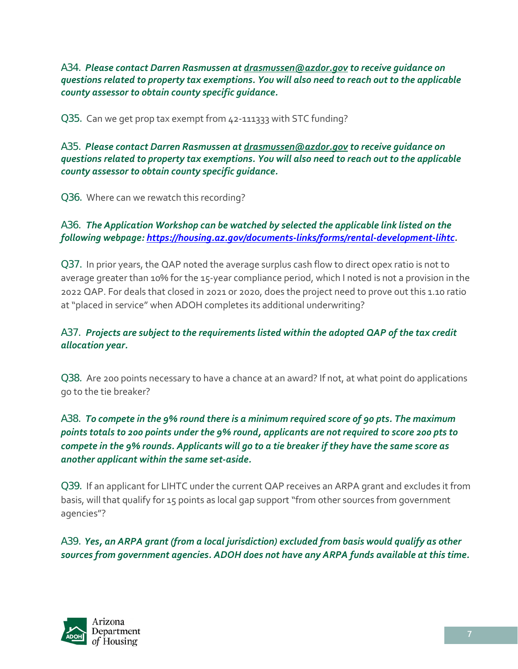A34. *Please contact Darren Rasmussen at [drasmussen@azdor.gov](mailto:drasmussen@azdor.gov) to receive guidance on questions related to property tax exemptions. You will also need to reach out to the applicable county assessor to obtain county specific guidance.*

Q35. Can we get prop tax exempt from 42-111333 with STC funding?

A35. *Please contact Darren Rasmussen at [drasmussen@azdor.gov](mailto:drasmussen@azdor.gov) to receive guidance on questions related to property tax exemptions. You will also need to reach out to the applicable county assessor to obtain county specific guidance.*

Q36. Where can we rewatch this recording?

## A36. *The Application Workshop can be watched by selected the applicable link listed on the following webpage: [https://housing.az.gov/documents-links/forms/rental-development-lihtc.](https://housing.az.gov/documents-links/forms/rental-development-lihtc)*

Q37. In prior years, the QAP noted the average surplus cash flow to direct opex ratio is not to average greater than 10% for the 15-year compliance period, which I noted is not a provision in the 2022 QAP. For deals that closed in 2021 or 2020, does the project need to prove out this 1.10 ratio at "placed in service" when ADOH completes its additional underwriting?

## A37. *Projects are subject to the requirements listed within the adopted QAP of the tax credit allocation year.*

Q38. Are 200 points necessary to have a chance at an award? If not, at what point do applications go to the tie breaker?

# A38. *To compete in the 9% round there is a minimum required score of 90 pts. The maximum points totals to 200 points under the 9% round, applicants are not required to score 200 pts to compete in the 9% rounds. Applicants will go to a tie breaker if they have the same score as another applicant within the same set-aside.*

Q39. If an applicant for LIHTC under the current QAP receives an ARPA grant and excludes it from basis, will that qualify for 15 points as local gap support "from other sources from government agencies"?

A39. *Yes, an ARPA grant (from a local jurisdiction) excluded from basis would qualify as other sources from government agencies. ADOH does not have any ARPA funds available at this time.*